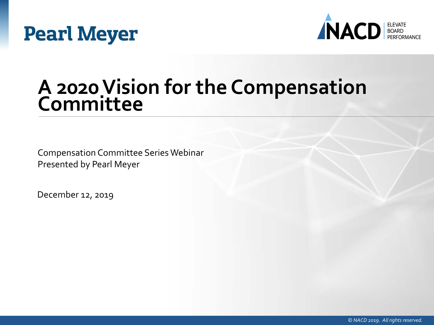



### **A 2020 Vision for the Compensation Committee**

Compensation Committee Series Webinar Presented by Pearl Meyer

December 12, 2019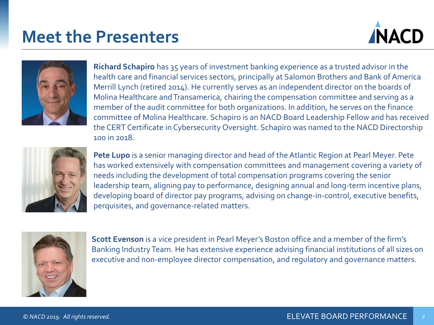### **Meet the Presenters**





**Richard Schapiro** has 35 years of investment banking experience as a trusted advisor in the health care and financial services sectors, principally at Salomon Brothers and Bank of America Merrill Lynch (retired 2014). He currently serves as an independent director on the boards of Molina Healthcare and Transamerica, chairing the compensation committee and serving as a member of the audit committee for both organizations. In addition, he serves on the finance committee of Molina Healthcare. Schapiro is an NACD Board Leadership Fellow and has received the CERT Certificate in Cybersecurity Oversight. Schapiro was named to the NACD Directorship 100 in 2018.



**Pete Lupo** is a senior managing director and head of the Atlantic Region at Pearl Meyer. Pete has worked extensively with compensation committees and management covering a variety of needs including the development of total compensation programs covering the senior leadership team, aligning pay to performance, designing annual and long-term incentive plans, developing board of director pay programs, advising on change-in-control, executive benefits, perquisites, and governance-related matters.



**Scott Evenson** is a vice president in Pearl Meyer's Boston office and a member of the firm's Banking Industry Team. He has extensive experience advising financial institutions of all sizes on executive and non-employee director compensation, and regulatory and governance matters.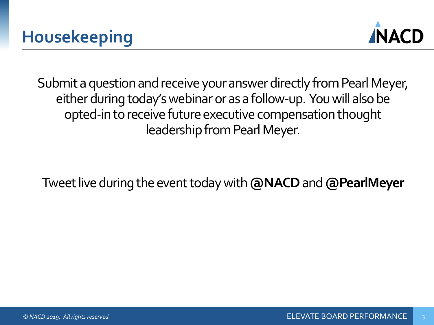

Submit a question and receive your answer directly from Pearl Meyer, either during today's webinar or as a follow-up. You will also be opted-in to receive future executive compensation thought leadership from Pearl Meyer.

Tweet live during the event today with **@NACD**and **@PearlMeyer**

3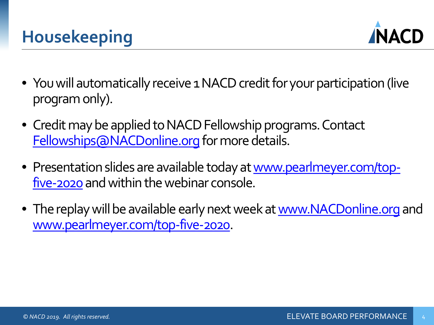

- You will automatically receive 1 NACD credit for your participation (live program only).
- Credit may be applied to NACD Fellowship programs. Contact [Fellowships@NACDonline.org](mailto:Fellowships@NACDonline.org) for more details.
- [Presentation slides are available today at www.pearlmeyer.com/top](http://www.pearlmeyer.com/gender-pay-equity)five-2020 and within the webinar console.
- The replay will be available early next week at [www.NACDonline.org](http://www.nacdonline.org/) and [www.pearlmeyer.com/top-five-2020](http://www.pearlmeyer.com/top-five-2020).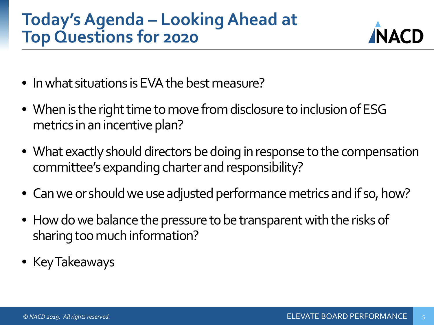### **Today's Agenda – Looking Ahead at Top Questions for 2020**



- In what situations is EVA the best measure?
- When is the right time to move from disclosure to inclusion of ESG metrics in an incentive plan?
- What exactly should directors be doing in response to the compensation committee's expanding charter and responsibility?
- Can we or should we use adjusted performance metrics and if so, how?
- How do we balance the pressure to be transparent with the risks of sharing too much information?
- Key Takeaways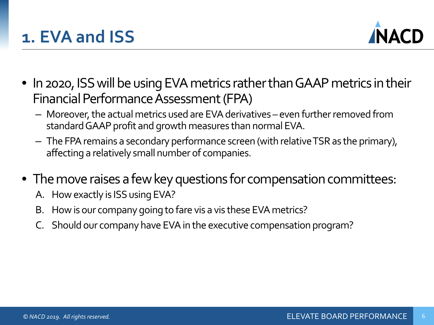

- In 2020, ISS will be using EVA metrics rather than GAAP metrics in their Financial Performance Assessment (FPA)
	- Moreover, the actual metrics used are EVA derivatives even further removed from standard GAAP profit and growth measures than normal EVA.
	- The FPA remains a secondary performance screen (with relative TSR as the primary), affecting a relatively small number of companies.
- The move raises a few key questions for compensation committees:
	- A. How exactly is ISS using EVA?
	- B. How is our company going to fare vis a vis these EVA metrics?
	- C. Should our company have EVA in the executive compensation program?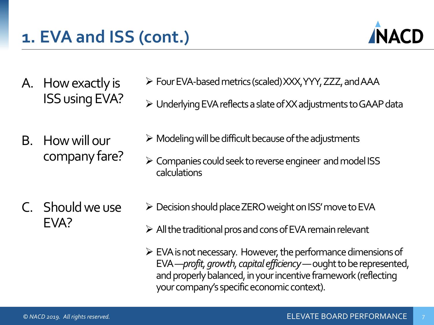

- A. How exactly is ISS using EVA?
- B. How will our company fare?

C. Should we use EVA?

- Four EVA-based metrics (scaled) XXX, YYY, ZZZ, and AAA
- Underlying EVA reflects a slate of XX adjustments to GAAP data
- $\triangleright$  Modeling will be difficult because of the adjustments
- Companies could seek to reverse engineer and model ISS calculations
- $\triangleright$  Decision should place ZERO weight on ISS' move to EVA
- $\triangleright$  All the traditional pros and cons of EVA remain relevant
- $\triangleright$  EVA is not necessary. However, the performance dimensions of EVA —*profit, growth, capital efficiency*—ought to be represented, and properly balanced, in your incentive framework (reflecting your company's specific economic context).

7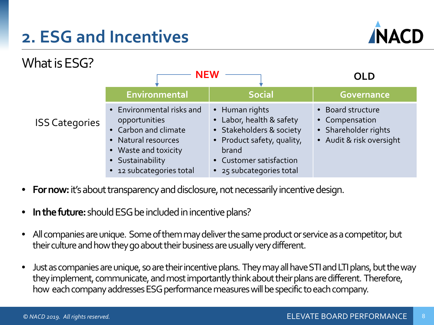### **2. ESG and Incentives**





- **For now:** it's about transparency and disclosure, not necessarily incentive design.
- **In the future:** should ESG be included in incentive plans?
- All companies are unique. Some of them may deliver the same product or service as a competitor, but their culture and how they go about their business are usually very different.
- Just as companies are unique, so are their incentive plans. They may all have STI and LTI plans, but the way they implement, communicate, and most importantly think about their plans are different. Therefore, how each company addresses ESG performance measures will be specific to each company.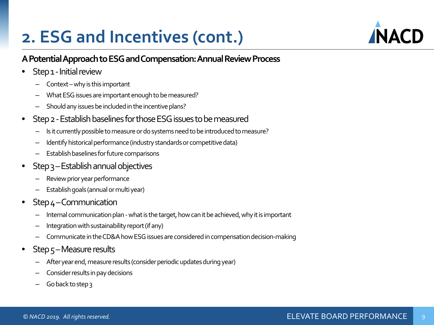### **2. ESG and Incentives (cont.)**

#### **A Potential Approach to ESG and Compensation: Annual Review Process**

- Step 1 Initial review
	- Context –why is this important
	- What ESG issues are important enough to be measured?
	- Should any issues be included in the incentive plans?
- Step 2 -Establish baselines for those ESG issues to be measured
	- Is it currently possible to measure or do systems need to be introduced to measure?
	- Identify historical performance (industry standards or competitive data)
	- Establish baselines for future comparisons
- Step 3 Establish annual objectives
	- Review prior year performance
	- Establish goals (annual or multi year)
- $Step 4$  Communication
	- Internal communication plan what is the target, how can it be achieved, why it is important
	- Integration with sustainability report (if any)
	- Communicate in the CD&A how ESG issues are considered in compensation decision-making
- Step 5-Measure results
	- After year end, measure results (consider periodic updates during year)
	- Consider results in pay decisions
	- Go back to step 3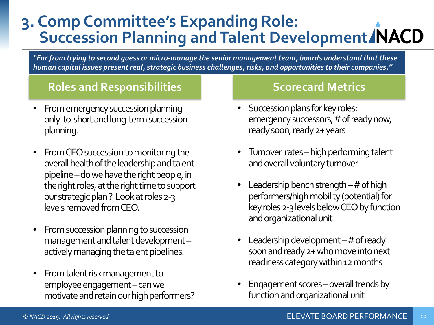#### **3. Comp Committee's Expanding Role: Succession Planning and Talent Development**

*"Far from trying to second guess or micro-manage the senior management team, boards understand that these human capital issues present real, strategic business challenges, risks, and opportunities to their companies."* 

#### **Roles and Responsibilities Scorecard Metrics**

- From emergency succession planning only to short and long-term succession planning.
- From CEO succession to monitoring the overall health of the leadership and talent pipeline –do we have the right people, in the right roles, at the right time to support our strategic plan ? Look at roles 2-3 levels removed from CEO.
- From succession planning to succession management and talent development – actively managing the talent pipelines.
- From talent risk management to employee engagement –can we motivate and retain our high performers?

- Succession plans for key roles: emergency successors, # of ready now, ready soon, ready 2+ years
- Turnover rates high performing talent and overall voluntary turnover
- Leadership bench strength  $-$  # of high performers/high mobility (potential) for key roles 2-3 levels below CEO by function and organizational unit
- Leadership development  $-$  # of ready soon and ready 2+ who move into next readiness category within 12 months
- Engagement scores –overall trends by function and organizational unit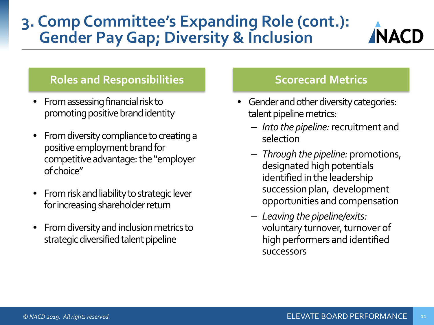### **3. Comp Committee's Expanding Role (cont.): Gender Pay Gap; Diversity & Inclusion**



- From assessing financial risk to promoting positive brand identity
- From diversity compliance to creating a positive employment brand for competitive advantage: the "employer of choice"
- From risk and liability to strategic lever for increasing shareholder return
- From diversity and inclusion metrics to strategic diversified talent pipeline

**NACD** 

- Gender and other diversity categories: talent pipeline metrics:
	- *Into the pipeline:* recruitment and selection
	- *Through the pipeline:* promotions, designated high potentials identified in the leadership succession plan, development opportunities and compensation
	- *Leaving the pipeline/exits:*  voluntary turnover, turnover of high performers and identified successors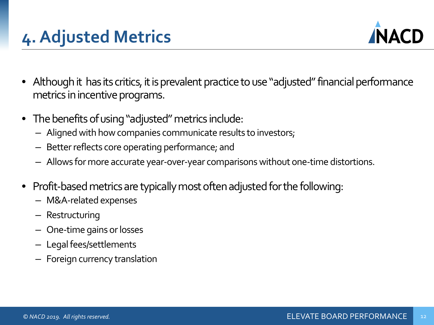



- Although it has its critics, it is prevalent practice to use "adjusted" financial performance metrics in incentive programs.
- The benefits of using "adjusted" metrics include:
	- Aligned with how companies communicate results to investors;
	- Better reflects core operating performance; and
	- Allows for more accurate year-over-year comparisons without one-time distortions.
- Profit-based metrics are typically most often adjusted for the following:
	- M&A-related expenses
	- Restructuring
	- One-time gains or losses
	- Legal fees/settlements
	- Foreign currency translation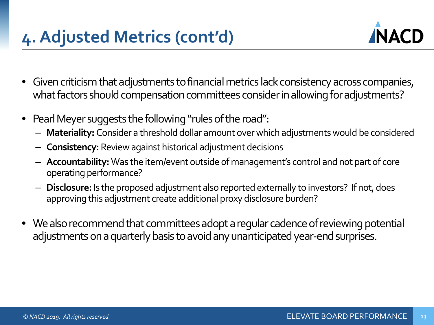

- Given criticism that adjustments to financial metrics lack consistency across companies, what factors should compensation committees consider in allowing for adjustments?
- Pearl Meyer suggests the following "rules of the road":
	- **Materiality:** Consider a threshold dollar amount over which adjustments would be considered
	- **Consistency:** Review against historical adjustment decisions
	- **Accountability:** Was the item/event outside of management's control and not part of core operating performance?
	- **Disclosure:** Is the proposed adjustment also reported externally to investors? If not, does approving this adjustment create additional proxy disclosure burden?
- We also recommend that committees adopt a regular cadence of reviewing potential adjustments on a quarterly basis to avoid any unanticipated year-end surprises.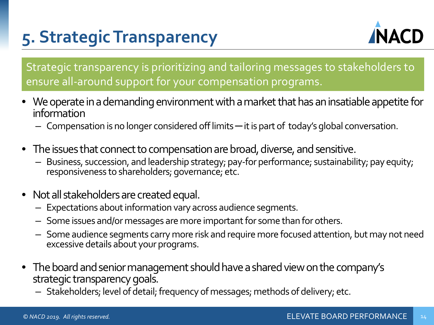## **5. Strategic Transparency**



Strategic transparency is prioritizing and tailoring messages to stakeholders to ensure all-around support for your compensation programs.

- We operate in a demanding environment with a market that has an insatiable appetite for information
	- Compensation is no longer considered off limits it is part of today's global conversation.
- The issues that connect to compensation are broad, diverse, and sensitive.
	- Business, succession, and leadership strategy; pay-for performance; sustainability; pay equity; responsiveness to shareholders; governance; etc.
- Not all stakeholders are created equal.
	- Expectations about information vary across audience segments.
	- Some issues and/or messages are more important for some than for others.
	- Some audience segments carry more risk and require more focused attention, but may not need excessive details about your programs.
- The board and senior management should have a shared view on the company's strategic transparency goals.
	- Stakeholders; level of detail; frequency of messages; methods of delivery; etc.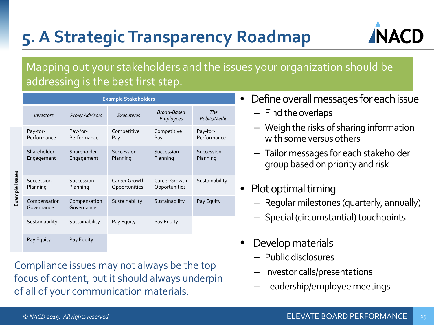## **5. A Strategic Transparency Roadmap**



#### Mapping out your stakeholders and the issues your organization should be addressing is the best first step.

|                | <b>Example Stakeholders</b> |                            |                                |                                 |                            |
|----------------|-----------------------------|----------------------------|--------------------------------|---------------------------------|----------------------------|
|                | Investors                   | <b>Proxy Advisors</b>      | Executives                     | Broad-Based<br><b>Employees</b> | <b>The</b><br>Public/Media |
| Example Issues | Pay-for-<br>Performance     | Pay-for-<br>Performance    | Competitive<br>Pay             | Competitive<br>Pay              | Pay-for-<br>Performance    |
|                | Shareholder<br>Engagement   | Shareholder<br>Engagement  | Succession<br>Planning         | Succession<br>Planning          | Succession<br>Planning     |
|                | Succession<br>Planning      | Succession<br>Planning     | Career Growth<br>Opportunities | Career Growth<br>Opportunities  | Sustainability             |
|                | Compensation<br>Governance  | Compensation<br>Governance | Sustainability                 | Sustainability                  | Pay Equity                 |
|                | Sustainability              | Sustainability             | Pay Equity                     | Pay Equity                      |                            |
|                | Pay Equity                  | Pay Equity                 |                                |                                 |                            |

Compliance issues may not always be the top focus of content, but it should always underpin of all of your communication materials.

- Define overall messages for each issue
	- Find the overlaps
	- Weigh the risks of sharing information with some versus others
	- Tailor messages for each stakeholder group based on priority and risk
- Plot optimal timing
	- Regular milestones (quarterly, annually)
	- Special (circumstantial) touchpoints
- Develop materials
	- Public disclosures
	- Investor calls/presentations
	- Leadership/employee meetings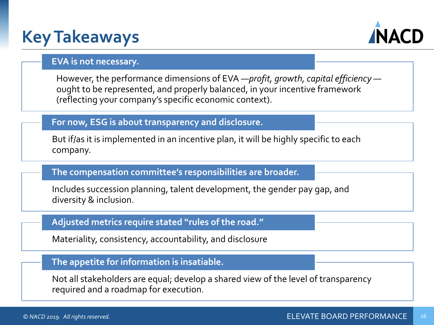### **Key Takeaways**



#### **EVA is not necessary.**

However, the performance dimensions of EVA —*profit, growth, capital efficiency* ought to be represented, and properly balanced, in your incentive framework (reflecting your company's specific economic context).

#### **For now, ESG is about transparency and disclosure.**

But if/as it is implemented in an incentive plan, it will be highly specific to each company.

#### **The compensation committee's responsibilities are broader.**

Includes succession planning, talent development, the gender pay gap, and diversity & inclusion.

#### **Adjusted metrics require stated "rules of the road."**

Materiality, consistency, accountability, and disclosure

#### **The appetite for information is insatiable.**

Not all stakeholders are equal; develop a shared view of the level of transparency required and a roadmap for execution.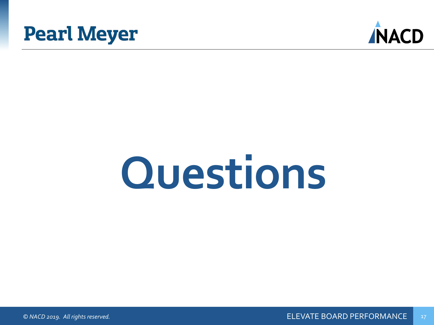



# **Questions**

*© NACD 2019. All rights reserved.* ELEVATE BOARD PERFORMANCE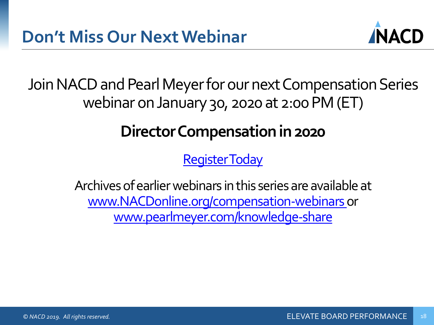

Join NACD and Pearl Meyer for our next Compensation Series webinar on January 30, 2020 at 2:00 PM (ET)

### **Director Compensation in 2020**

[Register Today](https://www.nacdonline.org/events/detail.cfm?id=a1N1M000005Ob86UAC)

Archives of earlier webinars in this series are available at [www.NACDonline.org/compensation-webinars](https://www.nacdonline.org/insights/videos?series=154) or [www.pearlmeyer.com/knowledge-share](http://www.pearlmeyer.com/knowledge-share)